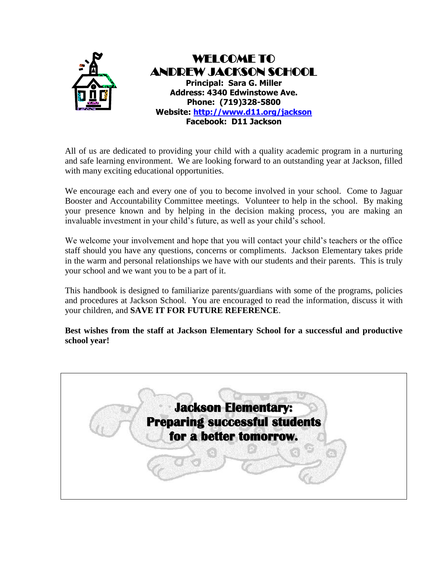

All of us are dedicated to providing your child with a quality academic program in a nurturing and safe learning environment. We are looking forward to an outstanding year at Jackson, filled with many exciting educational opportunities.

We encourage each and every one of you to become involved in your school. Come to Jaguar Booster and Accountability Committee meetings. Volunteer to help in the school. By making your presence known and by helping in the decision making process, you are making an invaluable investment in your child's future, as well as your child's school.

We welcome your involvement and hope that you will contact your child's teachers or the office staff should you have any questions, concerns or compliments. Jackson Elementary takes pride in the warm and personal relationships we have with our students and their parents. This is truly your school and we want you to be a part of it.

This handbook is designed to familiarize parents/guardians with some of the programs, policies and procedures at Jackson School. You are encouraged to read the information, discuss it with your children, and **SAVE IT FOR FUTURE REFERENCE**.

**Best wishes from the staff at Jackson Elementary School for a successful and productive school year!**

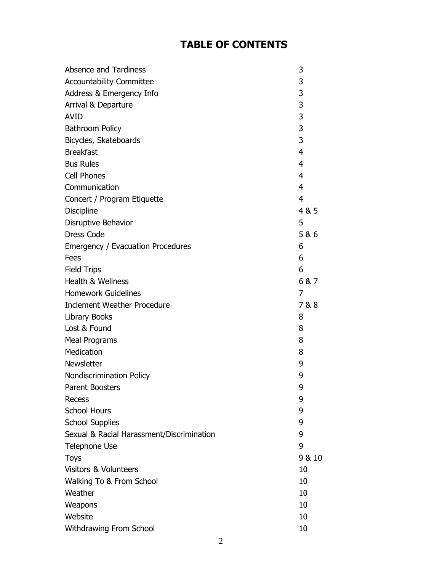## **TABLE OF CONTENTS**

| <b>Absence and Tardiness</b>              | 3              |
|-------------------------------------------|----------------|
| <b>Accountability Committee</b>           | 3              |
| Address & Emergency Info                  | 3              |
| Arrival & Departure                       | 3              |
| <b>AVID</b>                               | 3              |
| <b>Bathroom Policy</b>                    | 3              |
| Bicycles, Skateboards                     | 3              |
| <b>Breakfast</b>                          | $\overline{4}$ |
| <b>Bus Rules</b>                          | 4              |
| <b>Cell Phones</b>                        | 4              |
| Communication                             | 4              |
| Concert / Program Etiquette               | 4              |
| <b>Discipline</b>                         | 4 & 5          |
| Disruptive Behavior                       | 5              |
| <b>Dress Code</b>                         | 5 & 6          |
| Emergency / Evacuation Procedures         | 6              |
| Fees                                      | 6              |
| <b>Field Trips</b>                        | 6              |
| <b>Health &amp; Wellness</b>              | 6&7            |
| <b>Homework Guidelines</b>                | 7              |
| <b>Inclement Weather Procedure</b>        | 7&8            |
| <b>Library Books</b>                      | 8              |
| Lost & Found                              | 8              |
| <b>Meal Programs</b>                      | 8              |
| Medication                                | 8              |
| Newsletter                                | 9              |
| <b>Nondiscrimination Policy</b>           | 9              |
| Parent Boosters                           | 9              |
| Recess                                    | 9              |
| <b>School Hours</b>                       | 9              |
| <b>School Supplies</b>                    | 9              |
| Sexual & Racial Harassment/Discrimination | 9              |
| <b>Telephone Use</b>                      | 9              |
| <b>Toys</b>                               | 9 & 10         |
| <b>Visitors &amp; Volunteers</b>          | 10             |
| Walking To & From School                  | 10             |
| Weather                                   | 10             |
| Weapons                                   | 10             |
| Website                                   | 10             |
| Withdrawing From School                   | 10             |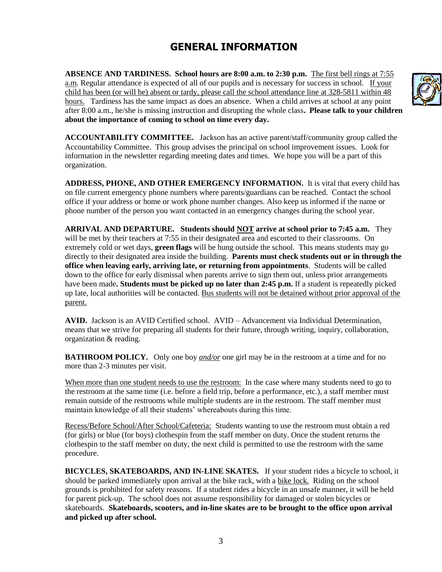## **GENERAL INFORMATION**

**ABSENCE AND TARDINESS. School hours are 8:00 a.m. to 2:30 p.m.** The first bell rings at 7:55 a.m. Regular attendance is expected of all of our pupils and is necessary for success in school. If your child has been (or will be) absent or tardy, please call the school attendance line at 328-5811 within 48 hours. Tardiness has the same impact as does an absence. When a child arrives at school at any point after 8:00 a.m., he/she is missing instruction and disrupting the whole class**. Please talk to your children about the importance of coming to school on time every day.**

**ACCOUNTABILITY COMMITTEE.** Jackson has an active parent/staff/community group called the Accountability Committee. This group advises the principal on school improvement issues. Look for information in the newsletter regarding meeting dates and times. We hope you will be a part of this organization.

**ADDRESS, PHONE, AND OTHER EMERGENCY INFORMATION.** It is vital that every child has on file current emergency phone numbers where parents/guardians can be reached. Contact the school office if your address or home or work phone number changes. Also keep us informed if the name or phone number of the person you want contacted in an emergency changes during the school year.

**ARRIVAL AND DEPARTURE. Students should NOT arrive at school prior to 7:45 a.m.** They will be met by their teachers at 7:55 in their designated area and escorted to their classrooms. On extremely cold or wet days, **green flags** will be hung outside the school. This means students may go directly to their designated area inside the building. **Parents must check students out or in through the office when leaving early, arriving late, or returning from appointments**. Students will be called down to the office for early dismissal when parents arrive to sign them out, unless prior arrangements have been made**. Students must be picked up no later than 2:45 p.m.** If a student is repeatedly picked up late, local authorities will be contacted. Bus students will not be detained without prior approval of the parent.

**AVID.** Jackson is an AVID Certified school. AVID – Advancement via Individual Determination, means that we strive for preparing all students for their future, through writing, inquiry, collaboration, organization & reading.

**BATHROOM POLICY.** Only one boy *and/or* one girl may be in the restroom at a time and for no more than 2-3 minutes per visit.

When more than one student needs to use the restroom: In the case where many students need to go to the restroom at the same time (i.e. before a field trip, before a performance, etc.), a staff member must remain outside of the restrooms while multiple students are in the restroom. The staff member must maintain knowledge of all their students' whereabouts during this time.

Recess/Before School/After School/Cafeteria: Students wanting to use the restroom must obtain a red (for girls) or blue (for boys) clothespin from the staff member on duty. Once the student returns the clothespin to the staff member on duty, the next child is permitted to use the restroom with the same procedure.

**BICYCLES, SKATEBOARDS, AND IN-LINE SKATES.** If your student rides a bicycle to school, it should be parked immediately upon arrival at the bike rack, with a bike lock. Riding on the school grounds is prohibited for safety reasons. If a student rides a bicycle in an unsafe manner, it will be held for parent pick-up. The school does not assume responsibility for damaged or stolen bicycles or skateboards. **Skateboards, scooters, and in-line skates are to be brought to the office upon arrival and picked up after school.**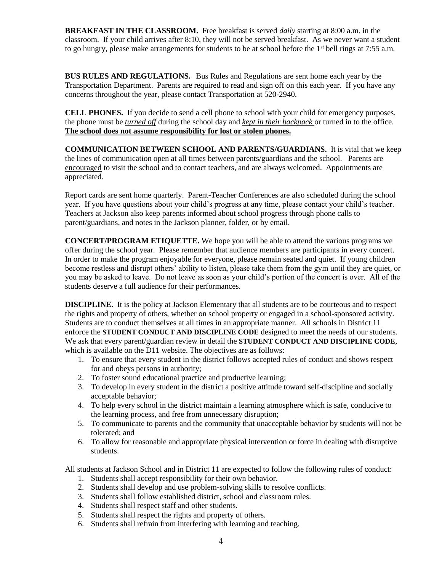**BREAKFAST IN THE CLASSROOM.** Free breakfast is served *daily* starting at 8:00 a.m. in the classroom. If your child arrives after 8:10, they will not be served breakfast. As we never want a student to go hungry, please make arrangements for students to be at school before the  $1<sup>st</sup>$  bell rings at 7:55 a.m.

**BUS RULES AND REGULATIONS.** Bus Rules and Regulations are sent home each year by the Transportation Department. Parents are required to read and sign off on this each year. If you have any concerns throughout the year, please contact Transportation at 520-2940.

**CELL PHONES.** If you decide to send a cell phone to school with your child for emergency purposes, the phone must be *turned off* during the school day and *kept in their backpack* or turned in to the office. **The school does not assume responsibility for lost or stolen phones.**

**COMMUNICATION BETWEEN SCHOOL AND PARENTS/GUARDIANS.** It is vital that we keep the lines of communication open at all times between parents/guardians and the school. Parents are encouraged to visit the school and to contact teachers, and are always welcomed. Appointments are appreciated.

Report cards are sent home quarterly. Parent-Teacher Conferences are also scheduled during the school year. If you have questions about your child's progress at any time, please contact your child's teacher. Teachers at Jackson also keep parents informed about school progress through phone calls to parent/guardians, and notes in the Jackson planner, folder, or by email.

**CONCERT/PROGRAM ETIQUETTE.** We hope you will be able to attend the various programs we offer during the school year. Please remember that audience members are participants in every concert. In order to make the program enjoyable for everyone, please remain seated and quiet. If young children become restless and disrupt others' ability to listen, please take them from the gym until they are quiet, or you may be asked to leave. Do not leave as soon as your child's portion of the concert is over. All of the students deserve a full audience for their performances.

**DISCIPLINE.** It is the policy at Jackson Elementary that all students are to be courteous and to respect the rights and property of others, whether on school property or engaged in a school-sponsored activity. Students are to conduct themselves at all times in an appropriate manner. All schools in District 11 enforce the **STUDENT CONDUCT AND DISCIPLINE CODE** designed to meet the needs of our students. We ask that every parent/guardian review in detail the **STUDENT CONDUCT AND DISCIPLINE CODE**, which is available on the D11 website. The objectives are as follows:

- 1. To ensure that every student in the district follows accepted rules of conduct and shows respect for and obeys persons in authority;
- 2. To foster sound educational practice and productive learning;
- 3. To develop in every student in the district a positive attitude toward self-discipline and socially acceptable behavior;
- 4. To help every school in the district maintain a learning atmosphere which is safe, conducive to the learning process, and free from unnecessary disruption;
- 5. To communicate to parents and the community that unacceptable behavior by students will not be tolerated; and
- 6. To allow for reasonable and appropriate physical intervention or force in dealing with disruptive students.

All students at Jackson School and in District 11 are expected to follow the following rules of conduct:

- 1. Students shall accept responsibility for their own behavior.
- 2. Students shall develop and use problem-solving skills to resolve conflicts.
- 3. Students shall follow established district, school and classroom rules.
- 4. Students shall respect staff and other students.
- 5. Students shall respect the rights and property of others.
- 6. Students shall refrain from interfering with learning and teaching.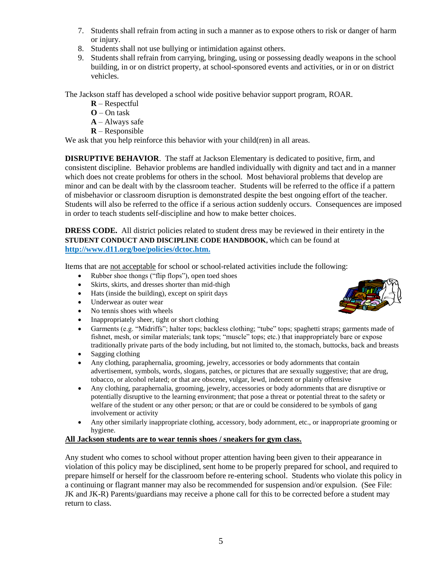- 7. Students shall refrain from acting in such a manner as to expose others to risk or danger of harm or injury.
- 8. Students shall not use bullying or intimidation against others.
- 9. Students shall refrain from carrying, bringing, using or possessing deadly weapons in the school building, in or on district property, at school-sponsored events and activities, or in or on district vehicles.

The Jackson staff has developed a school wide positive behavior support program, ROAR.

- **R** Respectful
- **O** On task
- **A** Always safe
- **R** Responsible

We ask that you help reinforce this behavior with your child(ren) in all areas.

**DISRUPTIVE BEHAVIOR**. The staff at Jackson Elementary is dedicated to positive, firm, and consistent discipline. Behavior problems are handled individually with dignity and tact and in a manner which does not create problems for others in the school. Most behavioral problems that develop are minor and can be dealt with by the classroom teacher. Students will be referred to the office if a pattern of misbehavior or classroom disruption is demonstrated despite the best ongoing effort of the teacher. Students will also be referred to the office if a serious action suddenly occurs. Consequences are imposed in order to teach students self-discipline and how to make better choices.

**DRESS CODE.** All district policies related to student dress may be reviewed in their entirety in the **STUDENT CONDUCT AND DISCIPLINE CODE HANDBOOK,** which can be found at **http://www.d11.org/boe/policies/dctoc.htm.**

Items that are not acceptable for school or school-related activities include the following:

- Rubber shoe thongs ("flip flops"), open toed shoes
- Skirts, skirts, and dresses shorter than mid-thigh
- Hats (inside the building), except on spirit days
- Underwear as outer wear
- No tennis shoes with wheels
- Inappropriately sheer, tight or short clothing
- Garments (e.g. "Midriffs"; halter tops; backless clothing; "tube" tops; spaghetti straps; garments made of fishnet, mesh, or similar materials; tank tops; "muscle" tops; etc.) that inappropriately bare or expose traditionally private parts of the body including, but not limited to, the stomach, buttocks, back and breasts
- Sagging clothing
- Any clothing, paraphernalia, grooming, jewelry, accessories or body adornments that contain advertisement, symbols, words, slogans, patches, or pictures that are sexually suggestive; that are drug, tobacco, or alcohol related; or that are obscene, vulgar, lewd, indecent or plainly offensive
- Any clothing, paraphernalia, grooming, jewelry, accessories or body adornments that are disruptive or potentially disruptive to the learning environment; that pose a threat or potential threat to the safety or welfare of the student or any other person; or that are or could be considered to be symbols of gang involvement or activity
- Any other similarly inappropriate clothing, accessory, body adornment, etc., or inappropriate grooming or hygiene.

### **All Jackson students are to wear tennis shoes / sneakers for gym class.**

Any student who comes to school without proper attention having been given to their appearance in violation of this policy may be disciplined, sent home to be properly prepared for school, and required to prepare himself or herself for the classroom before re-entering school. Students who violate this policy in a continuing or flagrant manner may also be recommended for suspension and/or expulsion. (See File: JK and JK-R) Parents/guardians may receive a phone call for this to be corrected before a student may return to class.

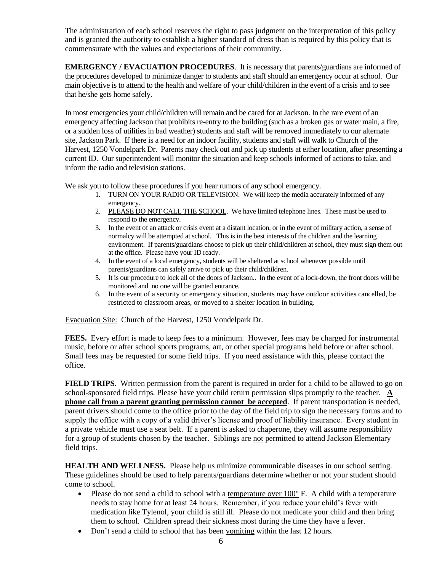The administration of each school reserves the right to pass judgment on the interpretation of this policy and is granted the authority to establish a higher standard of dress than is required by this policy that is commensurate with the values and expectations of their community.

**EMERGENCY / EVACUATION PROCEDURES**. It is necessary that parents/guardians are informed of the procedures developed to minimize danger to students and staff should an emergency occur at school. Our main objective is to attend to the health and welfare of your child/children in the event of a crisis and to see that he/she gets home safely.

In most emergencies your child/children will remain and be cared for at Jackson. In the rare event of an emergency affecting Jackson that prohibits re-entry to the building (such as a broken gas or water main, a fire, or a sudden loss of utilities in bad weather) students and staff will be removed immediately to our alternate site, Jackson Park. If there is a need for an indoor facility, students and staff will walk to Church of the Harvest, 1250 Vondelpark Dr. Parents may check out and pick up students at either location, after presenting a current ID. Our superintendent will monitor the situation and keep schools informed of actions to take, and inform the radio and television stations.

We ask you to follow these procedures if you hear rumors of any school emergency.

- 1. TURN ON YOUR RADIO OR TELEVISION. We will keep the media accurately informed of any emergency.
- 2. PLEASE DO NOT CALL THE SCHOOL. We have limited telephone lines. These must be used to respond to the emergency.
- 3. In the event of an attack or crisis event at a distant location, or in the event of military action, a sense of normalcy will be attempted at school. This is in the best interests of the children and the learning environment. If parents/guardians choose to pick up their child/children at school, they must sign them out at the office. Please have your ID ready.
- 4. In the event of a local emergency, students will be sheltered at school whenever possible until parents/guardians can safely arrive to pick up their child/children.
- 5. It is our procedure to lock all of the doors of Jackson.. In the event of a lock-down, the front doors will be monitored and no one will be granted entrance.
- 6. In the event of a security or emergency situation, students may have outdoor activities cancelled, be restricted to classroom areas, or moved to a shelter location in building.

Evacuation Site: Church of the Harvest, 1250 Vondelpark Dr.

**FEES.** Every effort is made to keep fees to a minimum. However, fees may be charged for instrumental music, before or after school sports programs, art, or other special programs held before or after school. Small fees may be requested for some field trips. If you need assistance with this, please contact the office.

**FIELD TRIPS.** Written permission from the parent is required in order for a child to be allowed to go on school-sponsored field trips. Please have your child return permission slips promptly to the teacher. **A phone call from a parent granting permission cannot be accepted**. If parent transportation is needed, parent drivers should come to the office prior to the day of the field trip to sign the necessary forms and to supply the office with a copy of a valid driver's license and proof of liability insurance. Every student in a private vehicle must use a seat belt. If a parent is asked to chaperone, they will assume responsibility for a group of students chosen by the teacher. Siblings are not permitted to attend Jackson Elementary field trips.

**HEALTH AND WELLNESS.** Please help us minimize communicable diseases in our school setting. These guidelines should be used to help parents/guardians determine whether or not your student should come to school.

- Please do not send a child to school with a temperature over  $100^\circ$  F. A child with a temperature needs to stay home for at least 24 hours. Remember, if you reduce your child's fever with medication like Tylenol, your child is still ill. Please do not medicate your child and then bring them to school. Children spread their sickness most during the time they have a fever.
- Don't send a child to school that has been vomiting within the last 12 hours.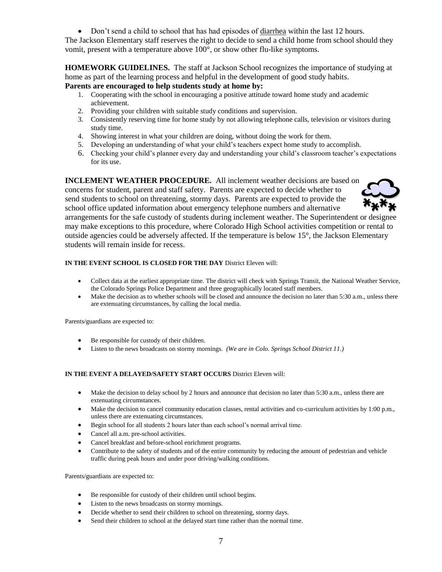• Don't send a child to school that has had episodes of diarrhea within the last 12 hours.

The Jackson Elementary staff reserves the right to decide to send a child home from school should they vomit, present with a temperature above 100°, or show other flu-like symptoms.

**HOMEWORK GUIDELINES.** The staff at Jackson School recognizes the importance of studying at home as part of the learning process and helpful in the development of good study habits.

**Parents are encouraged to help students study at home by:**

- 1. Cooperating with the school in encouraging a positive attitude toward home study and academic achievement.
- 2. Providing your children with suitable study conditions and supervision.
- 3. Consistently reserving time for home study by not allowing telephone calls, television or visitors during study time.
- 4. Showing interest in what your children are doing, without doing the work for them.
- 5. Developing an understanding of what your child's teachers expect home study to accomplish.
- 6. Checking your child's planner every day and understanding your child's classroom teacher's expectations for its use.

**INCLEMENT WEATHER PROCEDURE.** All inclement weather decisions are based on concerns for student, parent and staff safety. Parents are expected to decide whether to send students to school on threatening, stormy days. Parents are expected to provide the school office updated information about emergency telephone numbers and alternative



arrangements for the safe custody of students during inclement weather. The Superintendent or designee may make exceptions to this procedure, where Colorado High School activities competition or rental to outside agencies could be adversely affected. If the temperature is below 15°, the Jackson Elementary students will remain inside for recess.

#### **IN THE EVENT SCHOOL IS CLOSED FOR THE DAY** District Eleven will:

- Collect data at the earliest appropriate time. The district will check with Springs Transit, the National Weather Service, the Colorado Springs Police Department and three geographically located staff members.
- Make the decision as to whether schools will be closed and announce the decision no later than 5:30 a.m., unless there are extenuating circumstances, by calling the local media.

Parents/guardians are expected to:

- Be responsible for custody of their children.
- Listen to the news broadcasts on stormy mornings. *(We are in Colo. Springs School District 11.)*

#### **IN THE EVENT A DELAYED/SAFETY START OCCURS** District Eleven will:

- Make the decision to delay school by 2 hours and announce that decision no later than 5:30 a.m., unless there are extenuating circumstances.
- Make the decision to cancel community education classes, rental activities and co-curriculum activities by 1:00 p.m., unless there are extenuating circumstances.
- Begin school for all students 2 hours later than each school's normal arrival time.
- Cancel all a.m. pre-school activities.
- Cancel breakfast and before-school enrichment programs.
- Contribute to the safety of students and of the entire community by reducing the amount of pedestrian and vehicle traffic during peak hours and under poor driving/walking conditions.

Parents/guardians are expected to:

- Be responsible for custody of their children until school begins.
- Listen to the news broadcasts on stormy mornings.
- Decide whether to send their children to school on threatening, stormy days.
- Send their children to school at the delayed start time rather than the normal time.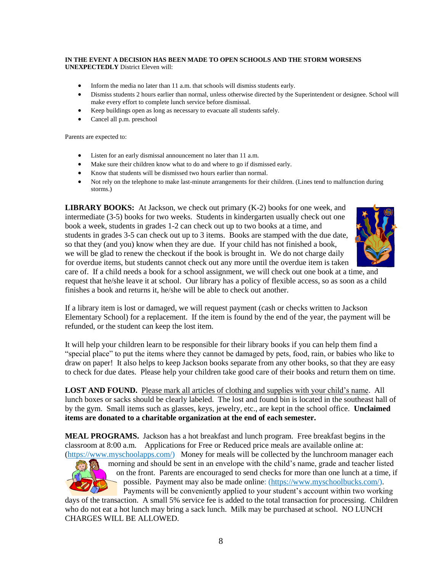#### **IN THE EVENT A DECISION HAS BEEN MADE TO OPEN SCHOOLS AND THE STORM WORSENS UNEXPECTEDLY** District Eleven will:

- Inform the media no later than 11 a.m. that schools will dismiss students early.
- Dismiss students 2 hours earlier than normal, unless otherwise directed by the Superintendent or designee. School will make every effort to complete lunch service before dismissal.
- Keep buildings open as long as necessary to evacuate all students safely.
- Cancel all p.m. preschool

Parents are expected to:

- Listen for an early dismissal announcement no later than 11 a.m.
- Make sure their children know what to do and where to go if dismissed early.
- Know that students will be dismissed two hours earlier than normal.
- Not rely on the telephone to make last-minute arrangements for their children. (Lines tend to malfunction during storms.)

**LIBRARY BOOKS:** At Jackson, we check out primary (K-2) books for one week, and intermediate (3-5) books for two weeks. Students in kindergarten usually check out one book a week, students in grades 1-2 can check out up to two books at a time, and students in grades 3-5 can check out up to 3 items. Books are stamped with the due date, so that they (and you) know when they are due. If your child has not finished a book, we will be glad to renew the checkout if the book is brought in. We do not charge daily for overdue items, but students cannot check out any more until the overdue item is taken



care of. If a child needs a book for a school assignment, we will check out one book at a time, and request that he/she leave it at school. Our library has a policy of flexible access, so as soon as a child finishes a book and returns it, he/she will be able to check out another.

If a library item is lost or damaged, we will request payment (cash or checks written to Jackson Elementary School) for a replacement. If the item is found by the end of the year, the payment will be refunded, or the student can keep the lost item.

It will help your children learn to be responsible for their library books if you can help them find a "special place" to put the items where they cannot be damaged by pets, food, rain, or babies who like to draw on paper! It also helps to keep Jackson books separate from any other books, so that they are easy to check for due dates. Please help your children take good care of their books and return them on time.

**LOST AND FOUND.** Please mark all articles of clothing and supplies with your child's name. All lunch boxes or sacks should be clearly labeled. The lost and found bin is located in the southeast hall of by the gym. Small items such as glasses, keys, jewelry, etc., are kept in the school office. **Unclaimed items are donated to a charitable organization at the end of each semester.**

**MEAL PROGRAMS.** Jackson has a hot breakfast and lunch program. Free breakfast begins in the classroom at 8:00 a.m. Applications for Free or Reduced price meals are available online at: [\(https://www.myschoolapps.com/\)](https://www.myschoolapps.com/) Money for meals will be collected by the lunchroom manager each



morning and should be sent in an envelope with the child's name, grade and teacher listed on the front. Parents are encouraged to send checks for more than one lunch at a time, if possible. Payment may also be made online: (https://www.myschoolbucks.com/). Payments will be conveniently applied to your student's account within two working

days of the transaction. A small 5% service fee is added to the total transaction for processing. Children who do not eat a hot lunch may bring a sack lunch. Milk may be purchased at school. NO LUNCH CHARGES WILL BE ALLOWED.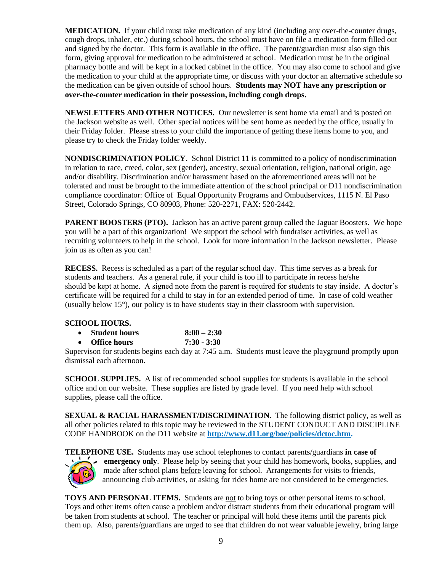**MEDICATION.** If your child must take medication of any kind (including any over-the-counter drugs, cough drops, inhaler, etc.) during school hours, the school must have on file a medication form filled out and signed by the doctor. This form is available in the office. The parent/guardian must also sign this form, giving approval for medication to be administered at school. Medication must be in the original pharmacy bottle and will be kept in a locked cabinet in the office. You may also come to school and give the medication to your child at the appropriate time, or discuss with your doctor an alternative schedule so the medication can be given outside of school hours. **Students may NOT have any prescription or over-the-counter medication in their possession, including cough drops.**

**NEWSLETTERS AND OTHER NOTICES.** Our newsletter is sent home via email and is posted on the Jackson website as well. Other special notices will be sent home as needed by the office, usually in their Friday folder. Please stress to your child the importance of getting these items home to you, and please try to check the Friday folder weekly.

**NONDISCRIMINATION POLICY.** School District 11 is committed to a policy of nondiscrimination in relation to race, creed, color, sex (gender), ancestry, sexual orientation, religion, national origin, age and/or disability. Discrimination and/or harassment based on the aforementioned areas will not be tolerated and must be brought to the immediate attention of the school principal or D11 nondiscrimination compliance coordinator: Office of Equal Opportunity Programs and Ombudservices, 1115 N. El Paso Street, Colorado Springs, CO 80903, Phone: 520-2271, FAX: 520-2442.

**PARENT BOOSTERS** (PTO). Jackson has an active parent group called the Jaguar Boosters. We hope you will be a part of this organization! We support the school with fundraiser activities, as well as recruiting volunteers to help in the school. Look for more information in the Jackson newsletter. Please join us as often as you can!

**RECESS.** Recess is scheduled as a part of the regular school day. This time serves as a break for students and teachers. As a general rule, if your child is too ill to participate in recess he/she should be kept at home. A signed note from the parent is required for students to stay inside. A doctor's certificate will be required for a child to stay in for an extended period of time. In case of cold weather (usually below 15°), our policy is to have students stay in their classroom with supervision.

### **SCHOOL HOURS.**

| <b>Student hours</b> | $8:00 - 2:30$ |
|----------------------|---------------|
| <b>Office hours</b>  | $7:30 - 3:30$ |

Supervison for students begins each day at 7:45 a.m. Students must leave the playground promptly upon dismissal each afternoon.

**SCHOOL SUPPLIES.** A list of recommended school supplies for students is available in the school office and on our website. These supplies are listed by grade level. If you need help with school supplies, please call the office.

**SEXUAL & RACIAL HARASSMENT/DISCRIMINATION.** The following district policy, as well as all other policies related to this topic may be reviewed in the STUDENT CONDUCT AND DISCIPLINE CODE HANDBOOK on the D11 website at **[http://www.d11.org/boe/policies/dctoc.htm.](http://www.d11.org/boe/policies/dctoc.htm)**



**TELEPHONE USE.** Students may use school telephones to contact parents/guardians **in case of emergency only**. Please help by seeing that your child has homework, books, supplies, and made after school plans before leaving for school. Arrangements for visits to friends, announcing club activities, or asking for rides home are not considered to be emergencies.

**TOYS AND PERSONAL ITEMS.** Students are not to bring toys or other personal items to school. Toys and other items often cause a problem and/or distract students from their educational program will be taken from students at school. The teacher or principal will hold these items until the parents pick them up. Also, parents/guardians are urged to see that children do not wear valuable jewelry, bring large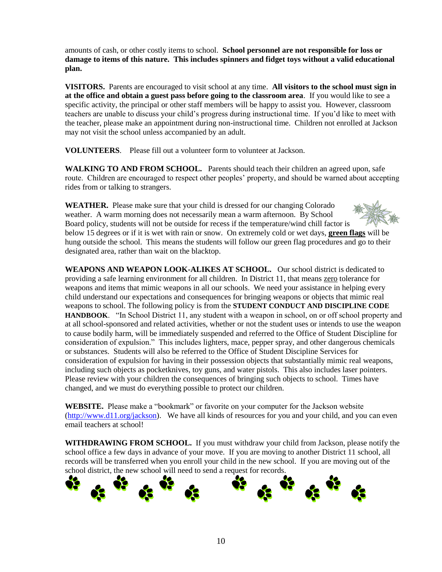amounts of cash, or other costly items to school. **School personnel are not responsible for loss or damage to items of this nature. This includes spinners and fidget toys without a valid educational plan.**

**VISITORS.** Parents are encouraged to visit school at any time. **All visitors to the school must sign in at the office and obtain a guest pass before going to the classroom area**. If you would like to see a specific activity, the principal or other staff members will be happy to assist you. However, classroom teachers are unable to discuss your child's progress during instructional time. If you'd like to meet with the teacher, please make an appointment during non-instructional time. Children not enrolled at Jackson may not visit the school unless accompanied by an adult.

**VOLUNTEERS**. Please fill out a volunteer form to volunteer at Jackson.

**WALKING TO AND FROM SCHOOL.** Parents should teach their children an agreed upon, safe route. Children are encouraged to respect other peoples' property, and should be warned about accepting rides from or talking to strangers.

**WEATHER.** Please make sure that your child is dressed for our changing Colorado weather. A warm morning does not necessarily mean a warm afternoon. By School Board policy, students will not be outside for recess if the temperature/wind chill factor is below 15 degrees or if it is wet with rain or snow. On extremely cold or wet days, **green flags** will be hung outside the school. This means the students will follow our green flag procedures and go to their designated area, rather than wait on the blacktop.

**WEAPONS AND WEAPON LOOK-ALIKES AT SCHOOL.** Our school district is dedicated to providing a safe learning environment for all children. In District 11, that means zero tolerance for weapons and items that mimic weapons in all our schools. We need your assistance in helping every child understand our expectations and consequences for bringing weapons or objects that mimic real weapons to school. The following policy is from the **STUDENT CONDUCT AND DISCIPLINE CODE HANDBOOK**. "In School District 11, any student with a weapon in school, on or off school property and at all school-sponsored and related activities, whether or not the student uses or intends to use the weapon to cause bodily harm, will be immediately suspended and referred to the Office of Student Discipline for consideration of expulsion." This includes lighters, mace, pepper spray, and other dangerous chemicals or substances. Students will also be referred to the Office of Student Discipline Services for consideration of expulsion for having in their possession objects that substantially mimic real weapons, including such objects as pocketknives, toy guns, and water pistols. This also includes laser pointers. Please review with your children the consequences of bringing such objects to school. Times have changed, and we must do everything possible to protect our children.

**WEBSITE.** Please make a "bookmark" or favorite on your computer for the Jackson website [\(http://www.d11.org/jackson\)](http://www.d11.org/jackson). We have all kinds of resources for you and your child, and you can even email teachers at school!

**WITHDRAWING FROM SCHOOL.** If you must withdraw your child from Jackson, please notify the school office a few days in advance of your move. If you are moving to another District 11 school, all records will be transferred when you enroll your child in the new school. If you are moving out of the school district, the new school will need to send a request for records.